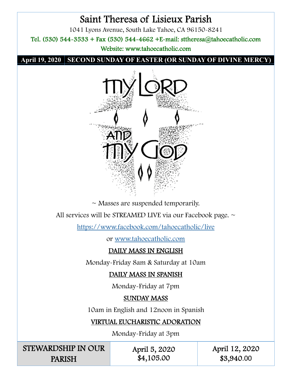# Saint Theresa of Lisieux Parish

1041 Lyons Avenue, South Lake Tahoe, CA 96150-8241

Tel. (530) 544-3533 + Fax (530) 544-4662 +E-mail: sttheresa@tahoecatholic.com

Website: www.tahoecatholic.com

**April 19, 2020 SECOND SUNDAY OF EASTER (OR SUNDAY OF DIVINE MERCY)** 



 $\sim$  Masses are suspended temporarily.

All services will be STREAMED LIVE via our Facebook page. ~

https://www.facebook.com/tahoecatholic/live

or www.tahoecatholic.com

# DAILY MASS IN ENGLISH

Monday-Friday 8am & Saturday at 10am

# DAILY MASS IN SPANISH

Monday-Friday at 7pm

# SUNDAY MASS

10am in English and 12noon in Spanish

# VIRTUAL EUCHARISTIC ADORATION

Monday-Friday at 3pm

STEWARDSHIP IN OUR PARISH

April 5, 2020 \$4,105.00

April 12, 2020 \$3,940.00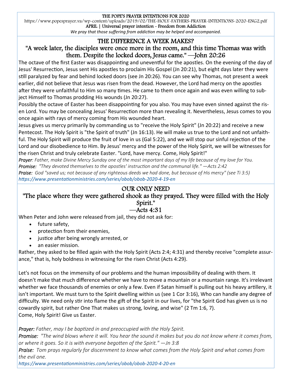#### THE POPE'S PRAYER INTENTIONS FOR 2020

https://www.popesprayer.va/wp-content/uploads/2019/02/THE-HOLY-FATHERS-PRAYER-INTENTIONS-2020-ENG2.pdf APRIL | Universal prayer intention - Freedom from Addiction

*We pray that those suffering from addiction may be helped and accompanied.* 

#### THE DIFFERENCE A WEEK MAKES? "A week later, the disciples were once more in the room, and this time Thomas was with them. Despite the locked doors, Jesus came." —John 20:26

The octave of the first Easter was disappointing and uneventful for the apostles. On the evening of the day of Jesus' Resurrection, Jesus sent His apostles to proclaim His Gospel (Jn 20:21), but eight days later they were still paralyzed by fear and behind locked doors (see Jn 20:26). You can see why Thomas, not present a week earlier, did not believe that Jesus was risen from the dead. However, the Lord had mercy on the apostles after they were unfaithful to Him so many times. He came to them once again and was even willing to subject Himself to Thomas prodding His wounds (Jn 20:27).

Possibly the octave of Easter has been disappointing for you also. You may have even sinned against the risen Lord. You may be concealing Jesus' Resurrection more than revealing it. Nevertheless, Jesus comes to you once again with rays of mercy coming from His wounded heart.

Jesus gives us mercy primarily by commanding us to "receive the Holy Spirit" (Jn 20:22) and receive a new Pentecost. The Holy Spirit is "the Spirit of truth" (Jn 16:13). He will make us true to the Lord and not unfaithful. The Holy Spirit will produce the fruit of love in us (Gal 5:22), and we will stop our sinful rejection of the Lord and our disobedience to Him. By Jesus' mercy and the power of the Holy Spirit, we will be witnesses for the risen Christ and truly celebrate Easter. "Lord, have mercy. Come, Holy Spirit!"

*Prayer: Father, make Divine Mercy Sunday one of the most important days of my life because of my love for You. Promise: "They devoted themselves to the apostles' instruction and the communal life."*  $-Acts$  *2:42 Praise: God "saved us; not because of any righteous deeds we had done, but because of His mercy" (see Ti 3:5) hƩps://www.presentaƟonministries.com/series/obob/obob‐2020‐4‐19‐en* 

#### OUR ONLY NEED

"The place where they were gathered shook as they prayed. They were filled with the Holy Spirit."

## —Acts 4:31

When Peter and John were released from jail, they did not ask for:

- future safety,
- protection from their enemies,
- justice after being wrongly arrested, or
- an easier mission.

Rather, they asked to be filled again with the Holy Spirit (Acts 2:4; 4:31) and thereby receive "complete assurance," that is, holy boldness in witnessing for the risen Christ (Acts 4:29).

Let's not focus on the immensity of our problems and the human impossibility of dealing with them. It doesn't make that much difference whether we have to move a mountain or a mountain range. It's irrelevant whether we face thousands of enemies or only a few. Even if Satan himself is pulling out his heavy artillery, it isn't important. We must turn to the Spirit dwelling within us (see 1 Cor 3:16), Who can handle any degree of difficulty. We need only stir into flame the gift of the Spirit in our lives, for "the Spirit God has given us is no cowardly spirit, but rather One That makes us strong, loving, and wise" (2 Tm 1:6, 7). Come, Holy Spirit! Give us Easter.

*Prayer: Father, may I be baptized in and preoccupied with the Holy Spirit.* 

*Promise: "The wind blows where it will. You hear the sound it makes but you do not know where it comes from, or where it goes. So it is with everyone begoƩen of the Spirit." —Jn 3:8* 

*Praise: Tom prays regularly for discernment to know what comes from the Holy Spirit and what comes from the evil one.* 

*hƩps://www.presentaƟonministries.com/series/obob/obob‐2020‐4‐20‐en*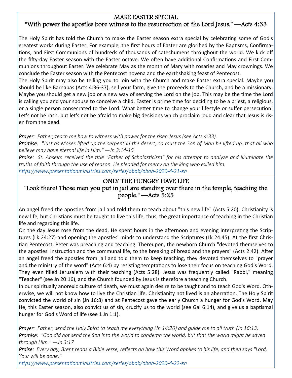## MAKE EASTER SPECIAL

## "With power the apostles bore witness to the resurrection of the Lord Jesus." —Acts 4:33

The Holy Spirit has told the Church to make the Easter season extra special by celebrating some of God's greatest works during Easter. For example, the first hours of Easter are glorified by the Baptisms, Confirmations, and First Communions of hundreds of thousands of catechumens throughout the world. We kick off the fifty-day Easter season with the Easter octave. We often have additional Confirmations and First Communions throughout Easter. We celebrate May as the month of Mary with rosaries and May crownings. We conclude the Easter season with the Pentecost novena and the earthshaking feast of Pentecost.

The Holy Spirit may also be telling you to join with the Church and make Easter extra special. Maybe you should be like Barnabas (Acts 4:36-37), sell your farm, give the proceeds to the Church, and be a missionary. Maybe you should get a new job or a new way of serving the Lord on the job. This may be the time the Lord is calling you and your spouse to conceive a child. Easter is prime time for deciding to be a priest, a religious, or a single person consecrated to the Lord. What better time to change your lifestyle or suffer persecution! Let's not be rash, but let's not be afraid to make big decisions which proclaim loud and clear that Jesus is risen from the dead.

*Prayer: Father, teach me how to witness with power for the risen Jesus (see Acts 4:33).* 

**Promise:** "Just as Moses lifted up the serpent in the desert, so must the Son of Man be lifted up, that all who *believe may have eternal life in Him." —Jn 3:14‐15* 

*Praise: St. Anselm received the title "Father of Scholasticism" for his attempt to analyze and illuminate the truths of faith through the use of reason. He pleaded for mercy on the king who exiled him. hƩps://www.presentaƟonministries.com/series/obob/obob‐2020‐4‐21‐en*

## ONLY THE HUNGRY HAVE LIFE

## "Look there! Those men you put in jail are standing over there in the temple, teaching the people." —Acts 5:25

An angel freed the apostles from jail and told them to teach about "this new life" (Acts 5:20). Christianity is new life, but Christians must be taught to live this life, thus, the great importance of teaching in the Christian life and regarding this life.

On the day Jesus rose from the dead, He spent hours in the afternoon and evening interpreting the Scriptures (Lk 24:27) and opening the apostles' minds to understand the Scriptures (Lk 24:45). At the first Christian Pentecost, Peter was preaching and teaching. Thereupon, the newborn Church "devoted themselves to the apostles' instruction and the communal life, to the breaking of bread and the prayers" (Acts 2:42). After an angel freed the apostles from jail and told them to keep teaching, they devoted themselves to "prayer and the ministry of the word" (Acts 6:4) by resisting temptations to lose their focus on teaching God's Word. They even filled Jerusalem with their teaching (Acts 5:28). Jesus was frequently called "Rabbi," meaning "Teacher" (see Jn 20:16), and the Church founded by Jesus is therefore a teaching Church.

In our spiritually anorexic culture of death, we must again desire to be taught and to teach God's Word. Otherwise, we will not know how to live the Christian life. Christianity not lived is an aberration. The Holy Spirit convicted the world of sin (Jn 16:8) and at Pentecost gave the early Church a hunger for God's Word. May He, this Easter season, also convict us of sin, crucify us to the world (see Gal 6:14), and give us a baptismal hunger for God's Word of life (see 1 Jn 1:1).

*Prayer: Father, send the Holy Spirit to teach me everything (Jn 14:26) and guide me to all truth (Jn 16:13). Promise: "God did not send the Son into the world to condemn the world, but that the world might be saved through Him." —Jn 3:17* 

*Praise: Every day, Brent reads a Bible verse, reflects on how this Word applies to his life, and then says "Lord, Your will be done."* 

*hƩps://www.presentaƟonministries.com/series/obob/obob‐2020‐4‐22‐en*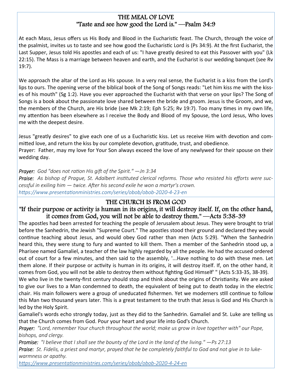#### THE MEAL OF LOVE "Taste and see how good the Lord is." —Psalm 34:9

At each Mass, Jesus offers us His Body and Blood in the Eucharistic feast. The Church, through the voice of the psalmist, invites us to taste and see how good the Eucharistic Lord is (Ps 34:9). At the first Eucharist, the Last Supper, Jesus told His apostles and each of us: "I have greatly desired to eat this Passover with you" (Lk 22:15). The Mass is a marriage between heaven and earth, and the Eucharist is our wedding banquet (see Rv 19:7).

We approach the altar of the Lord as His spouse. In a very real sense, the Eucharist is a kiss from the Lord's lips to ours. The opening verse of the biblical book of the Song of Songs reads: "Let him kiss me with the kisses of his mouth" (Sg 1:2). Have you ever approached the Eucharist with that verse on your lips? The Song of Songs is a book about the passionate love shared between the bride and groom. Jesus is the Groom, and we, the members of the Church, are His bride (see Mk 2:19; Eph 5:25; Rv 19:7). Too many times in my own life, my attention has been elsewhere as I receive the Body and Blood of my Spouse, the Lord Jesus, Who loves me with the deepest desire.

Jesus "greatly desires" to give each one of us a Eucharistic kiss. Let us receive Him with devotion and committed love, and return the kiss by our complete devotion, gratitude, trust, and obedience. Prayer: Father, may my love for Your Son always exceed the love of any newlywed for their spouse on their wedding day.

*Prayer: God "does not ration His gift of the Spirit." —Jn 3:34* 

*Praise: As bishop of Prague, St. Adalbert instituted clerical reforms. Those who resisted his efforts were successful in exiling him — twice. After his second exile he won a martyr's crown. hƩps://www.presentaƟonministries.com/series/obob/obob‐2020‐4‐23‐en* 

## THE CHURCH IS FROM GOD

#### "If their purpose or activity is human in its origins, it will destroy itself. If, on the other hand, it comes from God, you will not be able to destroy them." —Acts 5:38-39

The apostles had been arrested for teaching the people of Jerusalem about Jesus. They were brought to trial before the Sanhedrin, the Jewish "Supreme Court." The apostles stood their ground and declared they would continue teaching about Jesus, and would obey God rather than men (Acts 5:29). "When the Sanhedrin heard this, they were stung to fury and wanted to kill them. Then a member of the Sanhedrin stood up, a Pharisee named Gamaliel, a teacher of the law highly regarded by all the people. He had the accused ordered out of court for a few minutes, and then said to the assembly, '...Have nothing to do with these men. Let them alone. If their purpose or activity is human in its origins, it will destroy itself. If, on the other hand, it comes from God, you will not be able to destroy them without fighting God Himself' " (Acts 5:33-35, 38-39).

We who live in the twenty-first century should stop and think about the origins of Christianity. We are asked to give our lives to a Man condemned to death, the equivalent of being put to death today in the electric chair. His main followers were a group of uneducated fishermen. Yet we moderners still continue to follow this Man two thousand years later. This is a great testament to the truth that Jesus is God and His Church is led by the Holy Spirit.

Gamaliel's words echo strongly today, just as they did to the Sanhedrin. Gamaliel and St. Luke are telling us that the Church comes from God. Pour your heart and your life into God's Church.

*Prayer: "Lord, remember Your church throughout the world; make us grow in love together with" our Pope, bishops, and clergy.* 

*Promise: "I believe that I shall see the bounty of the Lord in the land of the living." —Ps 27:13* 

*Praise: St. Fidelis, a priest and martyr, prayed that he be completely faithful to God and not give in to luke‐ warmness or apathy.* 

*hƩps://www.presentaƟonministries.com/series/obob/obob‐2020‐4‐24‐en*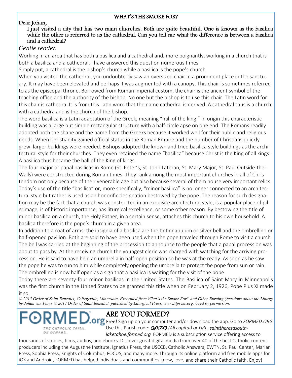#### WHAT'S THE SMOKE FOR?

#### Dear Johan,

#### I just visited a city that has two main churches. Both are quite beautiful. One is known as the basilica while the other is referred to as the cathedral. Can you tell me what the difference is between a basilica and a cathedral?

#### *Gentle reader,*

Working in an area that has both a basilica and a cathedral and, more poignantly, working in a church that is both a basilica and a cathedral, I have answered this question numerous times.

Simply put, a cathedral is the bishop's church while a basilica is the pope's church.

When you visited the cathedral, you undoubtedly saw an oversized chair in a prominent place in the sanctuary. It may have been elevated and perhaps it was augmented with a canopy. This chair is sometimes referred to as the episcopal throne. Borrowed from Roman imperial custom, the chair is the ancient symbol of the teaching office and the authority of the bishop. No one but the bishop is to use this chair. The Latin word for this chair is cathedra. It is from this Latin word that the name cathedral is derived. A cathedral thus is a church with a cathedra and is the church of the bishop.

The word basilica is a Latin adaptation of the Greek, meaning "hall of the king." In origin this characteristic building was a large but simple rectangular structure with a half-circle apse on one end. The Romans readily adopted both the shape and the name from the Greeks because it worked well for their public and religious needs. When Christianity gained official status in the Roman Empire and the number of Christians quickly grew, larger buildings were needed. Bishops adopted the known and tried basilica style buildings as the architectural style for their churches. They even retained the name "basilica" because Christ is the King of all kings. A basilica thus became the hall of the King of kings.

The four major or papal basilicas in Rome (St. Peter's, St. John Lateran, St. Mary Major, St. Paul Outside-the-Walls) were constructed during Roman times. They rank among the most important churches in all of Christendom not only because of their venerable age but also because several of them house very important relics. Today's use of the title "basilica" or, more specifically, "minor basilica" is no longer connected to an architectural style but rather is used as an honorific designation bestowed by the pope. The reason for such designation may be the fact that a church was constructed in an exquisite architectural style, is a popular place of pilgrimage, is of historic importance, has liturgical excellence, or some other reason. By bestowing the title of minor basilica on a church, the Holy Father, in a certain sense, attaches this church to his own household. A basilica therefore is the pope's church in a given area.

In addition to a coat of arms, the insignia of a basilica are the tintinnabulum or silver bell and the ombrellino or half-opened pavilion. Both are said to have been used when the pope traveled through Rome to visit a church. The bell was carried at the beginning of the procession to announce to the people that a papal procession was about to pass by. At the receiving church the youngest cleric was charged with watching for the arriving procession. He is said to have held an umbrella in half-open position so he was at the ready. As soon as he saw the pope he was to run to him while completely opening the umbrella to protect the pope from sun or rain. The ombrellino is now half open as a sign that a basilica is waiting for the visit of the pope.

Today there are seventy-four minor basilicas in the United States. The Basilica of Saint Mary in Minneapolis was the first church in the United States to be granted this title when on February 2, 1926, Pope Pius XI made it so.

*© 2015 Order of Saint Benedict, Collegeville, Minnesota. Excerpted from What's the Smoke For? And Other Burning Questions about the Liturgy by Johan van Parys © 2014 Order of Saint Benedict, published by Liturgical Press, www.litpress.org. Used by permission.*

# ON OIMANS.

# ARE YOU FORMED?

*laketahoe.formed.org* FORMED is a subscription service offering access to **P.OFG** Free! Sign up on your computer and/or download the app. Go to *FORMED.ORG* Use this Parish code: QKK7X3 (All capital) or URL: sainttheresasouth-

thousands of studies, films, audios, and ebooks. Discover great digital media from over 40 of the best Catholic content producers including the Augustine Institute, Ignatius Press, the USCCB, Catholic Answers, EWTN, St. Paul Center, Marian Press, Sophia Press, Knights of Columbus, FOCUS, and many more. Through its online platform and free mobile apps for iOS and Android, FORMED has helped individuals and communities know, love, and share their Catholic faith. Enjoy!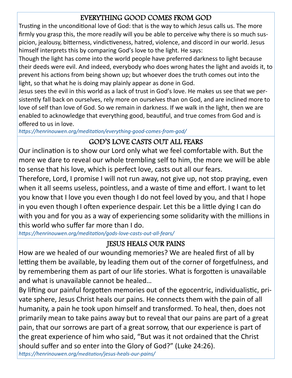# EVERYTHING GOOD COMES FROM GOD

Trusting in the unconditional love of God: that is the way to which Jesus calls us. The more firmly you grasp this, the more readily will you be able to perceive why there is so much suspicion, jealousy, bitterness, vindictiveness, hatred, violence, and discord in our world. Jesus himself interprets this by comparing God's love to the light. He says:

Though the light has come into the world people have preferred darkness to light because their deeds were evil. And indeed, everybody who does wrong hates the light and avoids it, to prevent his actions from being shown up; but whoever does the truth comes out into the light, so that what he is doing may plainly appear as done in God.

Jesus sees the evil in this world as a lack of trust in God's love. He makes us see that we persistently fall back on ourselves, rely more on ourselves than on God, and are inclined more to love of self than love of God. So we remain in darkness. If we walk in the light, then we are enabled to acknowledge that everything good, beautiful, and true comes from God and is offered to us in love.

*hƩps://henrinouwen.org/meditaƟon/everything‐good‐comes‐from‐god/* 

# GOD'S LOVE CASTS OUT ALL FEARS

Our inclination is to show our Lord only what we feel comfortable with. But the more we dare to reveal our whole trembling self to him, the more we will be able to sense that his love, which is perfect love, casts out all our fears.

Therefore, Lord, I promise I will not run away, not give up, not stop praying, even when it all seems useless, pointless, and a waste of time and effort. I want to let you know that I love you even though I do not feel loved by you, and that I hope in you even though I often experience despair. Let this be a little dying I can do with you and for you as a way of experiencing some solidarity with the millions in this world who suffer far more than I do.

*hƩps://henrinouwen.org/meditaƟon/gods‐love‐casts‐out‐all‐fears/*

# JESUS HEALS OUR PAINS

How are we healed of our wounding memories? We are healed first of all by letting them be available, by leading them out of the corner of forgetfulness, and by remembering them as part of our life stories. What is forgotten is unavailable and what is unavailable cannot be healed…

By lifting our painful forgotten memories out of the egocentric, individualistic, private sphere, Jesus Christ heals our pains. He connects them with the pain of all humanity, a pain he took upon himself and transformed. To heal, then, does not primarily mean to take pains away but to reveal that our pains are part of a great pain, that our sorrows are part of a great sorrow, that our experience is part of the great experience of him who said, "But was it not ordained that the Christ should suffer and so enter into the Glory of God?" (Luke 24:26).

*hƩps://henrinouwen.org/meditaƟon/jesus‐heals‐our‐pains/*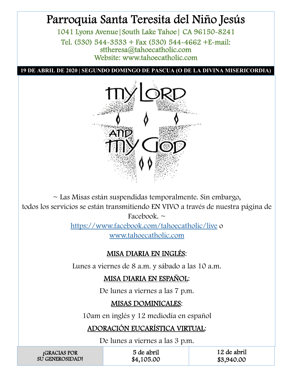# Parroquia Santa Teresita del Niño Jesús

1041 Lyons Avenue|South Lake Tahoe| CA 96150-8241 Tel. (530) 544-3533 + Fax (530) 544-4662 +E-mail: sttheresa@tahoecatholic.com Website: www.tahoecatholic.com

**19 DE ABRIL DE 2020 | SEGUNDO DOMINGO DE PASCUA (O DE LA DIVINA MISERICORDIA)** 



 $\sim$  Las Misas están suspendidas temporalmente. Sin embargo, todos los servicios se están transmitiendo EN VIVO a través de nuestra página de Facebook.  $\sim$ 

https://www.facebook.com/tahoecatholic/live o www.tahoecatholic.com

# MISA DIARIA EN INGLÉS:

Lunes a viernes de 8 a.m. y sábado a las 10 a.m.

# MISA DIARIA EN ESPAÑOL:

De lunes a viernes a las 7 p.m.

# MISAS DOMINICALES:

10am en inglés y 12 mediodía en español

# ADORACIÓN EUCARÍSTICA VIRTUAL:

De lunes a viernes a las 3 p.m.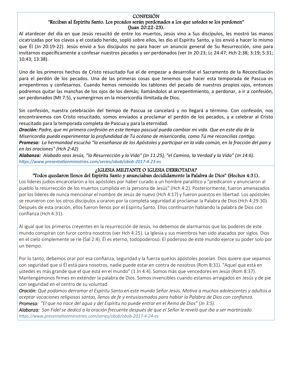#### CONFESIÓN "Reciban al Espíritu Santo. Los pecados serán perdonados a los que ustedes se los perdonen" (Juan 20:22-23).

Al atardecer del día en que Jesús resucitó de entre los muertos, Jesús vino a Sus discípulos, les mostró las manos cicatrizadas por los clavos y el costado herido, sopló sobre ellos, les dio el Espíritu Santo, y los envió a hacer lo mismo que Él (Jn 20:19-22). Jesús envió a Sus discípulos no para hacer un anuncio general de Su Resurrección, sino para invitarnos específicamente a confesar nuestros pecados y ser perdonados (ver Jn 20:23; Lc 24:47; Hch 2:38; 3:19; 5:31; 10:43; 13:38).

Uno de los primeros hechos de Cristo resucitado fue el de empezar a desarrollar el Sacramento de la Reconciliación para el perdón de los pecados. Una de las primeras cosas que tenemos que hacer esta temporada de Pascua es arrepentirnos y confesarnos. Cuando hemos removido los tablones del pecado de nuestros propios ojos, entonces podremos quitar las manchas de los ojos de los demás; llamándolos al arrepentimiento, a perdonar, a ir a confesión, ser perdonados (Mt 7:5), y sumergirnos en la misericordia ilimitada de Dios.

Sin confesión, nuestra celebración del tiempo de Pascua se cancelará y no llegará a término. Con confesión, nos encontraremos con Cristo resucitado, somos enviados a proclamar el perdón de los pecados, y a celebrar al Cristo resucitado para la temporada completa de Pascua y para la eternidad.

*Oración: Padre, que mi primera confesión en este Ɵempo pascual pueda cambiar mi vida. Que en este día de la Misericordia pueda experimentar la profundidad de Tú océano de misericordia, como Tú me reconcilias conƟgo. Promesa: La hermandad escucha "la enseñanza de los Apóstoles y parƟcipar en la vida común, en la fracción del pan y en las oraciones" (Hch 2:42)* 

*Alabanza: Alabado seas Jesús, "la Resurrección y la Vida" (Jn 11:25), "el Camino, la Verdad y la Vida" (Jn 14:6). hƩps://www.presentaƟonministries.com/series/obob/obob‐2017‐4‐23‐es* 

#### ¿IGLESIA MILITANTE O IGLESIA DERROTADA?

"Todos quedaron llenos del Espíritu Santo y anunciaban decididamente la Palabra de Dios" (Hechos 4:31).

Los líderes judíos encarcelaron a los apóstoles por haber curado a un hombre paralitico y "predicaron y anunciaron al pueblo la resurrección de los muertos cumplida en la persona de Jesús" (Hch 4:2). Posteriormente, fueron amenazados por los líderes de nunca mencionar el nombre de Jesús de nuevo (Hch 4:17) y fueron puestos en libertad. Los apóstoles se reunieron con los otros discípulos y oraron por la completa seguridad al proclamar la Palabra de Dios (Hch 4:29-30). Después de esta oración, ellos fueron llenos por el Espíritu Santo. Ellos continuaron hablando la palabra de Dios con confianza (Hch 4:31).

Al igual que los primeros creyentes en la resurrección de Jesús, no debemos de alarmarnos que los poderes de este mundo conspiran con furor contra nosotros (ver Hch 4:25). La Iglesia y sus miembros han sido atacados por siglos. Dios en el cielo simplemente se ríe (Sal 2:4). Él es eterno, todopoderoso. El poderoso de este mundo ejerce su poder solo por un tiempo.

Por lo tanto, debemos orar por esa confianza, seguridad y la fuerza que los apóstoles poseían. Dios quiere que sepamos con seguridad que si Él está para nosotros, nadie puede estar en contra de nosotros (Rom 8:31). "Aquel que está en ustedes es más grande que el que está en el mundo" (1 Jn 4:4). Somos más que vencedores en Jesús (Rom 8:37). Mantengámonos firmes en extender la palabra de Dios. Somos invencibles cuando estamos arraigados en Jesús y de pie con seguridad en el centro de su voluntad.

*Oración: Que podamos derramar el Espíritu Santo en este mundo Señor Jesús. MoƟva a muchos adolescentes y adultos a aceptar vocaciones religiosas santas, llenos de fe y entusiasmados para hablar la Palabra de Dios con confianza. Promesa: "El que no nace del agua y del Espíritu no puede entrar en el Reino de Dios" (Jn 3:5).* 

*Alabanza: San Fidel se dedicó a la oración frecuente después de que el Señor le reveló que iba a ser marƟrizado. hƩps://www.presentaƟonministries.com/series/obob/obob‐2017‐4‐24‐es*